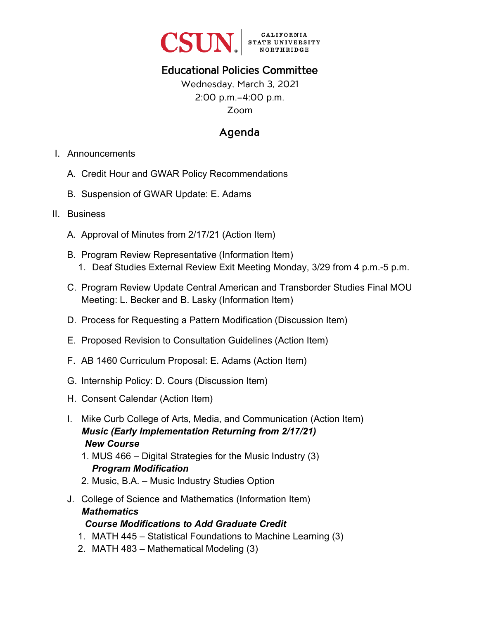

# Educational Policies Committee

Wednesday, March 3, 2021 2:00 p.m.–4:00 p.m. Zoom

# Agenda

- I. Announcements
	- A. Credit Hour and GWAR Policy Recommendations
	- B. Suspension of GWAR Update: E. Adams
- II. Business
	- A. Approval of Minutes from 2/17/21 (Action Item)
	- B. Program Review Representative (Information Item) 1. Deaf Studies External Review Exit Meeting Monday, 3/29 from 4 p.m.-5 p.m.
	- C. Program Review Update Central American and Transborder Studies Final MOU Meeting: L. Becker and B. Lasky (Information Item)
	- D. Process for Requesting a Pattern Modification (Discussion Item)
	- E. Proposed Revision to Consultation Guidelines (Action Item)
	- F. AB 1460 Curriculum Proposal: E. Adams (Action Item)
	- G. Internship Policy: D. Cours (Discussion Item)
	- H. Consent Calendar (Action Item)
	- I. Mike Curb College of Arts, Media, and Communication (Action Item) *Music (Early Implementation Returning from 2/17/21) New Course*
		- 1. MUS 466 Digital Strategies for the Music Industry (3) *Program Modification*
		- 2. Music, B.A. Music Industry Studies Option
	- J. College of Science and Mathematics (Information Item) *Mathematics*

## *Course Modifications to Add Graduate Credit*

- 1. MATH 445 Statistical Foundations to Machine Learning (3)
- 2. MATH 483 Mathematical Modeling (3)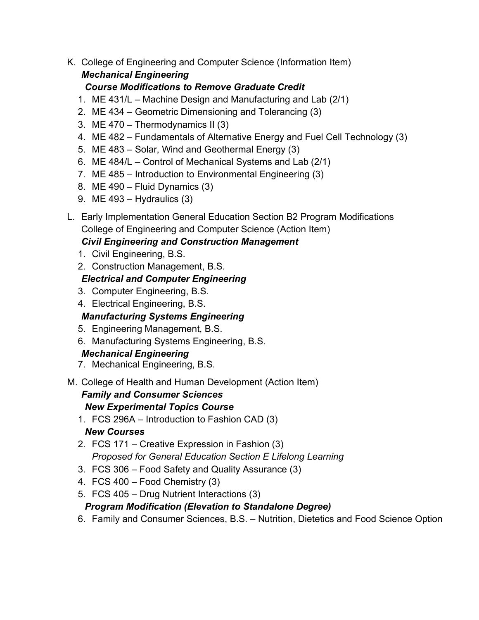K. College of Engineering and Computer Science (Information Item) *Mechanical Engineering*

## *Course Modifications to Remove Graduate Credit*

- 1. ME 431/L Machine Design and Manufacturing and Lab (2/1)
- 2. ME 434 Geometric Dimensioning and Tolerancing (3)
- 3. ME 470 Thermodynamics II (3)
- 4. ME 482 Fundamentals of Alternative Energy and Fuel Cell Technology (3)
- 5. ME 483 Solar, Wind and Geothermal Energy (3)
- 6. ME 484/L Control of Mechanical Systems and Lab (2/1)
- 7. ME 485 Introduction to Environmental Engineering (3)
- 8. ME 490 Fluid Dynamics (3)
- 9. ME 493 Hydraulics (3)
- L. Early Implementation General Education Section B2 Program Modifications College of Engineering and Computer Science (Action Item)

## *Civil Engineering and Construction Management*

- 1. Civil Engineering, B.S.
- 2. Construction Management, B.S.

## *Electrical and Computer Engineering*

- 3. Computer Engineering, B.S.
- 4. Electrical Engineering, B.S.

## *Manufacturing Systems Engineering*

- 5. Engineering Management, B.S.
- 6. Manufacturing Systems Engineering, B.S.

## *Mechanical Engineering*

7. Mechanical Engineering, B.S.

### M. College of Health and Human Development (Action Item) *Family and Consumer Sciences New Experimental Topics Course*

- 1. FCS 296A Introduction to Fashion CAD (3) *New Courses*
- 2. FCS 171 Creative Expression in Fashion (3) *Proposed for General Education Section E Lifelong Learning*
- 3. FCS 306 Food Safety and Quality Assurance (3)
- 4. FCS 400 Food Chemistry (3)
- 5. FCS 405 Drug Nutrient Interactions (3)

## *Program Modification (Elevation to Standalone Degree)*

6. Family and Consumer Sciences, B.S. – Nutrition, Dietetics and Food Science Option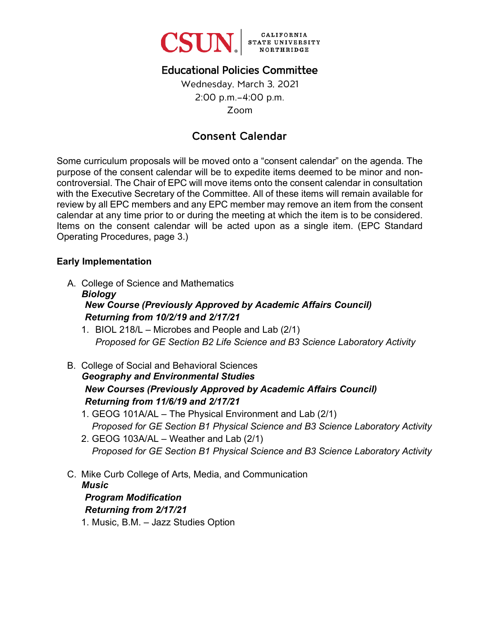

# Educational Policies Committee

Wednesday, March 3, 2021 2:00 p.m.–4:00 p.m. Zoom

# Consent Calendar

Some curriculum proposals will be moved onto a "consent calendar" on the agenda. The purpose of the consent calendar will be to expedite items deemed to be minor and noncontroversial. The Chair of EPC will move items onto the consent calendar in consultation with the Executive Secretary of the Committee. All of these items will remain available for review by all EPC members and any EPC member may remove an item from the consent calendar at any time prior to or during the meeting at which the item is to be considered. Items on the consent calendar will be acted upon as a single item. (EPC Standard Operating Procedures, page 3.)

#### **Early Implementation**

A. College of Science and Mathematics

### *Biology New Course (Previously Approved by Academic Affairs Council) Returning from 10/2/19 and 2/17/21*

- 1. BIOL 218/L Microbes and People and Lab (2/1) *Proposed for GE Section B2 Life Science and B3 Science Laboratory Activity*
- B. College of Social and Behavioral Sciences *Geography and Environmental Studies New Courses (Previously Approved by Academic Affairs Council) Returning from 11/6/19 and 2/17/21*
	- 1. GEOG 101A/AL The Physical Environment and Lab (2/1) *Proposed for GE Section B1 Physical Science and B3 Science Laboratory Activity*
	- 2. GEOG 103A/AL Weather and Lab (2/1) *Proposed for GE Section B1 Physical Science and B3 Science Laboratory Activity*
- C. Mike Curb College of Arts, Media, and Communication *Music*

#### *Program Modification Returning from 2/17/21*

1. Music, B.M. – Jazz Studies Option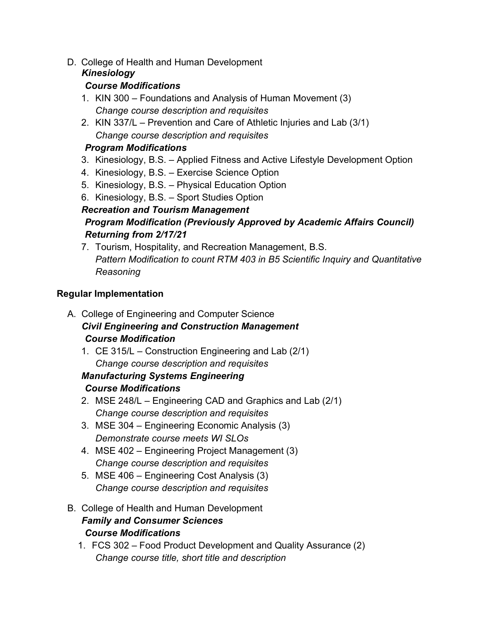## D. College of Health and Human Development

## *Kinesiology*

## *Course Modifications*

- 1. KIN 300 Foundations and Analysis of Human Movement (3) *Change course description and requisites*
- 2. KIN 337/L Prevention and Care of Athletic Injuries and Lab (3/1) *Change course description and requisites*

## *Program Modifications*

- 3. Kinesiology, B.S. Applied Fitness and Active Lifestyle Development Option
- 4. Kinesiology, B.S. Exercise Science Option
- 5. Kinesiology, B.S. Physical Education Option
- 6. Kinesiology, B.S. Sport Studies Option

## *Recreation and Tourism Management Program Modification (Previously Approved by Academic Affairs Council) Returning from 2/17/21*

7. Tourism, Hospitality, and Recreation Management, B.S. *Pattern Modification to count RTM 403 in B5 Scientific Inquiry and Quantitative Reasoning*

## **Regular Implementation**

- A. College of Engineering and Computer Science *Civil Engineering and Construction Management Course Modification*
	- 1. CE 315/L Construction Engineering and Lab (2/1) *Change course description and requisites*

#### *Manufacturing Systems Engineering Course Modifications*

- 2. MSE 248/L Engineering CAD and Graphics and Lab (2/1) *Change course description and requisites*
- 3. MSE 304 Engineering Economic Analysis (3) *Demonstrate course meets WI SLOs*
- 4. MSE 402 Engineering Project Management (3) *Change course description and requisites*
- 5. MSE 406 Engineering Cost Analysis (3) *Change course description and requisites*
- B. College of Health and Human Development *Family and Consumer Sciences Course Modifications*
	- 1. FCS 302 Food Product Development and Quality Assurance (2) *Change course title, short title and description*